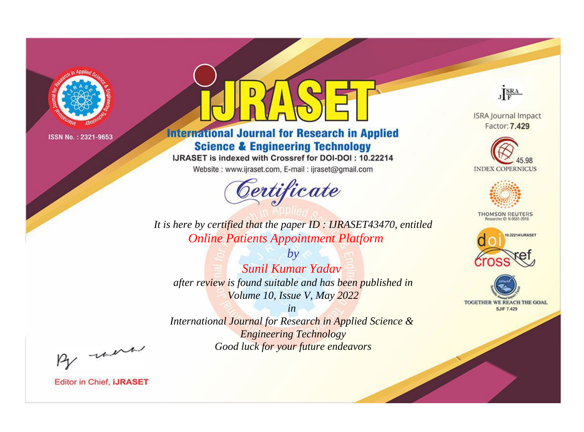

# **International Journal for Research in Applied Science & Engineering Technology**

IJRASET is indexed with Crossref for DOI-DOI: 10.22214

Website: www.ijraset.com, E-mail: ijraset@gmail.com



JERA

**ISRA Journal Impact** Factor: 7.429





**THOMSON REUTERS** 



TOGETHER WE REACH THE GOAL **SJIF 7.429** 

It is here by certified that the paper ID: IJRASET43470, entitled **Online Patients Appointment Platform** 

**Sunil Kumar Yaday** after review is found suitable and has been published in Volume 10, Issue V, May 2022

 $b\nu$ 

 $in$ International Journal for Research in Applied Science & **Engineering Technology** Good luck for your future endeavors

By morn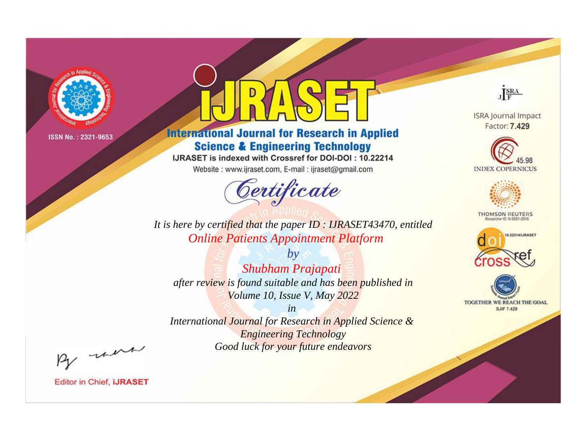

# **International Journal for Research in Applied Science & Engineering Technology**

IJRASET is indexed with Crossref for DOI-DOI: 10.22214

Website: www.ijraset.com, E-mail: ijraset@gmail.com



JERA

**ISRA Journal Impact** Factor: 7.429





**THOMSON REUTERS** 



TOGETHER WE REACH THE GOAL **SJIF 7.429** 

*It is here by certified that the paper ID : IJRASET43470, entitled Online Patients Appointment Platform*

*by Shubham Prajapati after review is found suitable and has been published in Volume 10, Issue V, May 2022*

*in* 

*International Journal for Research in Applied Science & Engineering Technology Good luck for your future endeavors*

By morn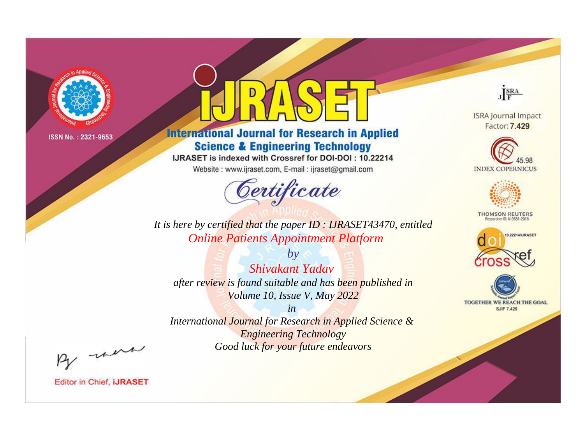

# **International Journal for Research in Applied Science & Engineering Technology**

IJRASET is indexed with Crossref for DOI-DOI: 10.22214

Website: www.ijraset.com, E-mail: ijraset@gmail.com



JERA **ISRA Journal Impact** 

Factor: 7.429





**THOMSON REUTERS** 



TOGETHER WE REACH THE GOAL **SJIF 7.429** 

*It is here by certified that the paper ID : IJRASET43470, entitled Online Patients Appointment Platform*

*by Shivakant Yadav after review is found suitable and has been published in Volume 10, Issue V, May 2022*

*in* 

*International Journal for Research in Applied Science & Engineering Technology Good luck for your future endeavors*

By morn